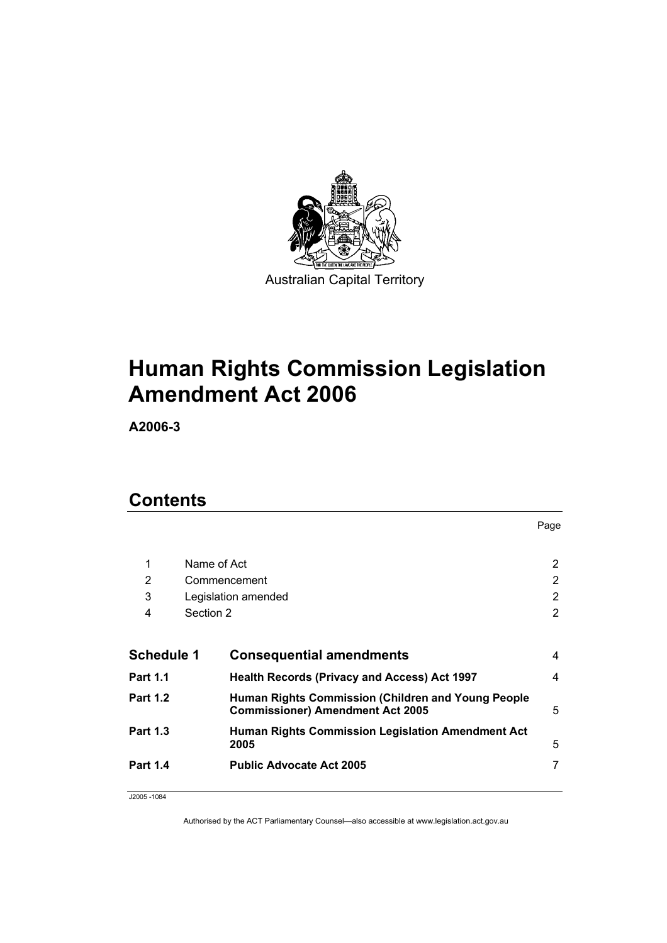

# **Human Rights Commission Legislation Amendment Act 2006**

**A2006-3** 

# **Contents**

|                 |                     |                                                                                               | Page           |
|-----------------|---------------------|-----------------------------------------------------------------------------------------------|----------------|
| 1               | Name of Act         |                                                                                               | $\overline{2}$ |
| 2               | Commencement        |                                                                                               | 2              |
| 3               | Legislation amended |                                                                                               | 2              |
| 4               | Section 2           |                                                                                               | 2              |
|                 |                     |                                                                                               |                |
| Schedule 1      |                     | <b>Consequential amendments</b>                                                               | 4              |
| Part 1.1        |                     | <b>Health Records (Privacy and Access) Act 1997</b>                                           | 4              |
| Part 1.2        |                     | Human Rights Commission (Children and Young People<br><b>Commissioner) Amendment Act 2005</b> | 5              |
| <b>Part 1.3</b> |                     | <b>Human Rights Commission Legislation Amendment Act</b><br>2005                              | 5              |
| <b>Part 1.4</b> |                     | <b>Public Advocate Act 2005</b>                                                               | 7              |
|                 |                     |                                                                                               |                |

J2005 -1084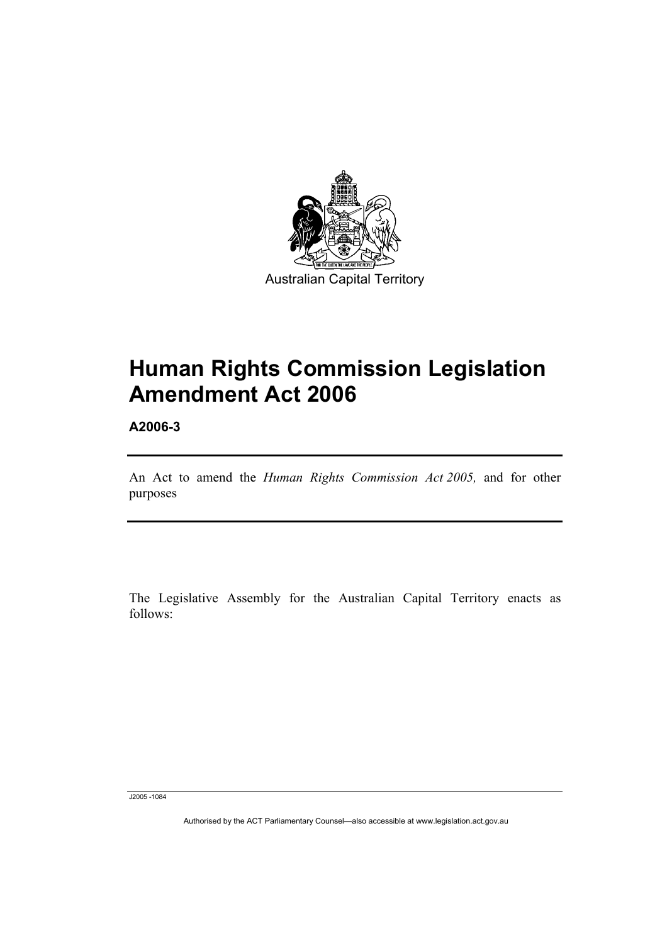

# **Human Rights Commission Legislation Amendment Act 2006**

**A2006-3** 

An Act to amend the *Human Rights Commission Act 2005,* and for other purposes

The Legislative Assembly for the Australian Capital Territory enacts as follows:

J2005 -1084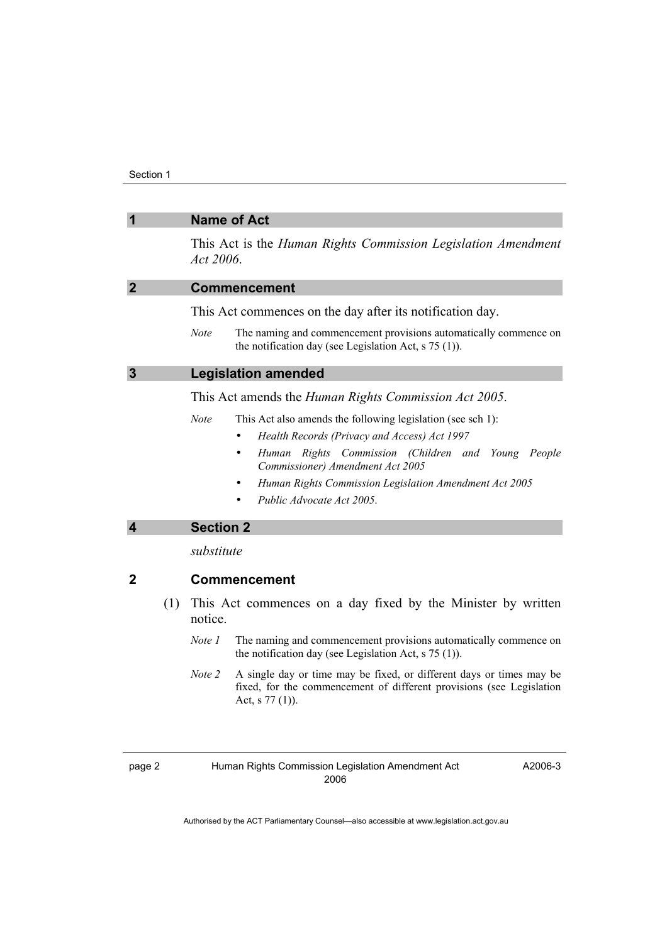|                |     | <b>Name of Act</b>                                                                                                                                                          |  |
|----------------|-----|-----------------------------------------------------------------------------------------------------------------------------------------------------------------------------|--|
|                |     | This Act is the Human Rights Commission Legislation Amendment<br>Act 2006.                                                                                                  |  |
| $\overline{2}$ |     | <b>Commencement</b>                                                                                                                                                         |  |
|                |     | This Act commences on the day after its notification day.                                                                                                                   |  |
|                |     | <b>Note</b><br>The naming and commencement provisions automatically commence on<br>the notification day (see Legislation Act, $s$ 75 (1)).                                  |  |
| $\mathbf{3}$   |     | <b>Legislation amended</b>                                                                                                                                                  |  |
|                |     | This Act amends the <i>Human Rights Commission Act 2005</i> .                                                                                                               |  |
|                |     | <b>Note</b><br>This Act also amends the following legislation (see sch 1):                                                                                                  |  |
|                |     | Health Records (Privacy and Access) Act 1997<br>$\bullet$                                                                                                                   |  |
|                |     | Human Rights Commission (Children and Young People<br>Commissioner) Amendment Act 2005                                                                                      |  |
|                |     | Human Rights Commission Legislation Amendment Act 2005                                                                                                                      |  |
|                |     | Public Advocate Act 2005.                                                                                                                                                   |  |
| 4              |     | <b>Section 2</b>                                                                                                                                                            |  |
|                |     | substitute                                                                                                                                                                  |  |
| 2              |     | <b>Commencement</b>                                                                                                                                                         |  |
|                | (1) | This Act commences on a day fixed by the Minister by written<br>notice.                                                                                                     |  |
|                |     | The naming and commencement provisions automatically commence on<br>Note 1<br>the notification day (see Legislation Act, $s$ 75 (1)).                                       |  |
|                |     | Note 2<br>A single day or time may be fixed, or different days or times may be<br>fixed, for the commencement of different provisions (see Legislation<br>Act, s $77(1)$ ). |  |
|                |     |                                                                                                                                                                             |  |

A2006-3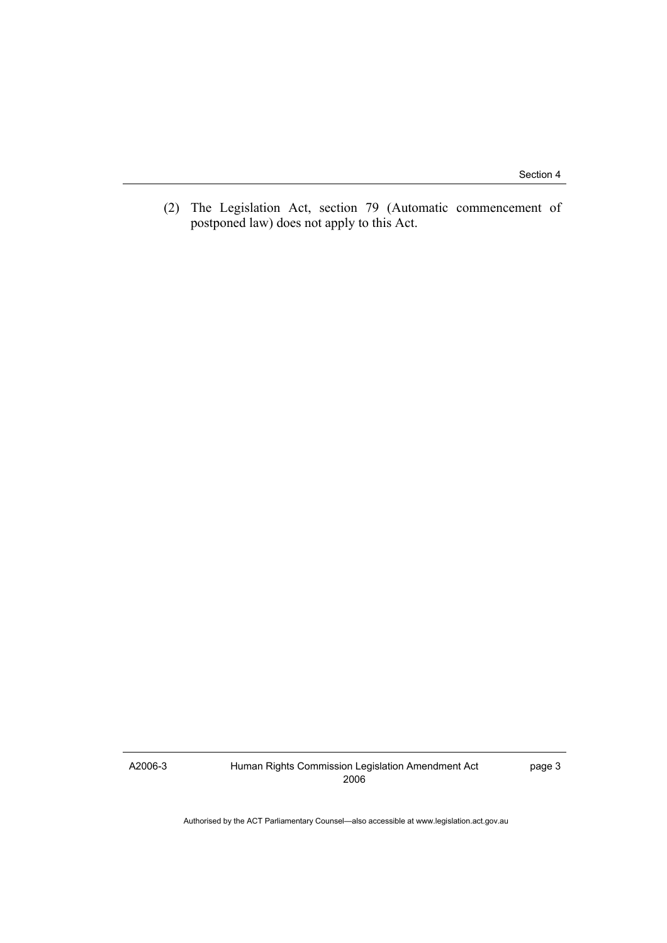(2) The Legislation Act, section 79 (Automatic commencement of postponed law) does not apply to this Act.

A2006-3

Human Rights Commission Legislation Amendment Act 2006

page 3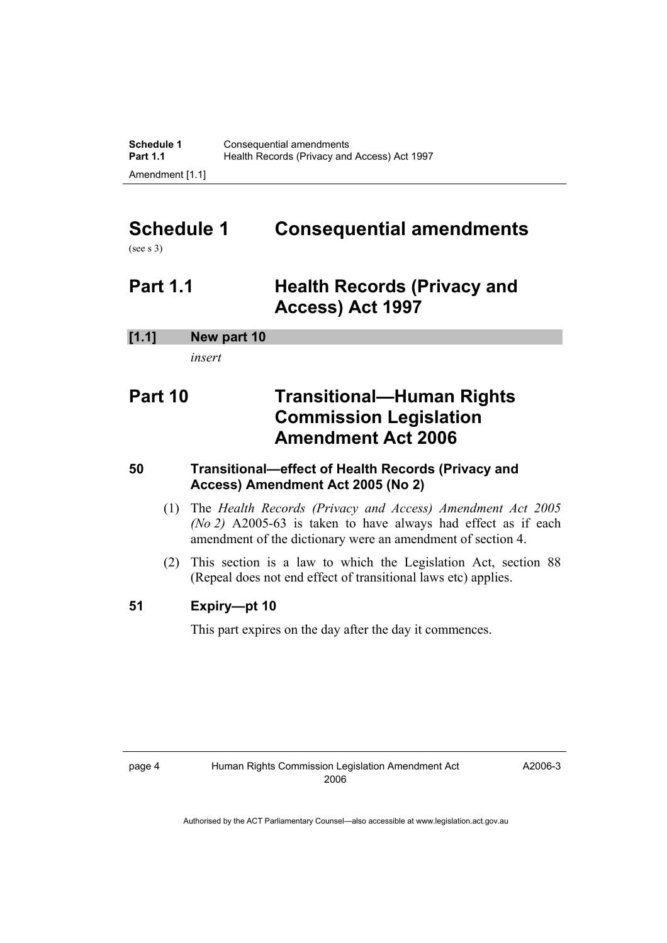# **Schedule 1 Consequential amendments**

(see s 3)

# **Part 1.1 Health Records (Privacy and Access) Act 1997**

### **[1.1] New part 10**

*insert* 

## **Part 10 Transitional—Human Rights Commission Legislation Amendment Act 2006**

### **50 Transitional—effect of Health Records (Privacy and Access) Amendment Act 2005 (No 2)**

- (1) The *Health Records (Privacy and Access) Amendment Act 2005 (No 2)* A2005-63 is taken to have always had effect as if each amendment of the dictionary were an amendment of section 4.
- (2) This section is a law to which the Legislation Act, section 88 (Repeal does not end effect of transitional laws etc) applies.

### **51 Expiry—pt 10**

This part expires on the day after the day it commences.

A2006-3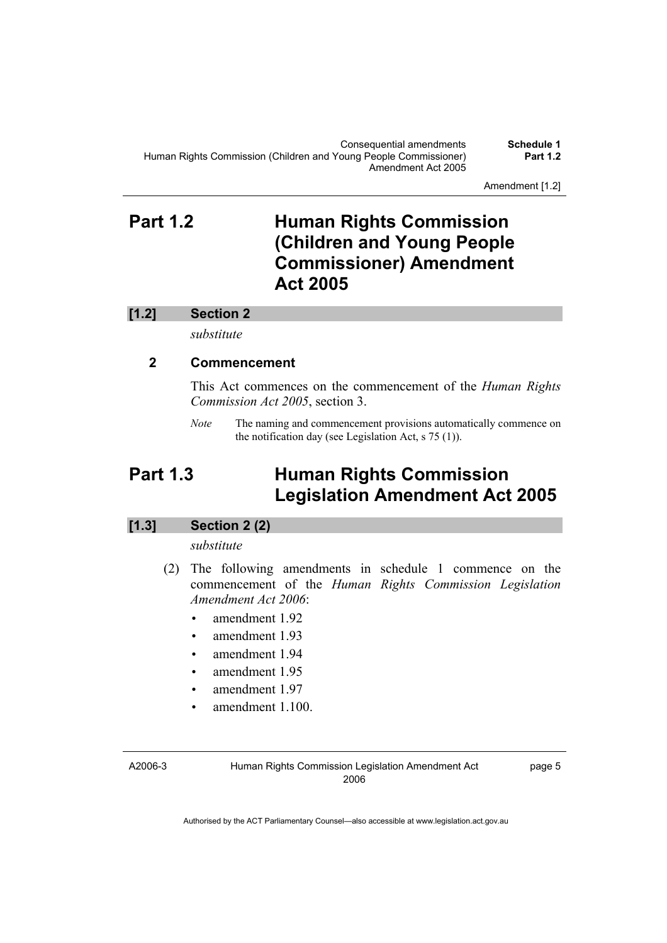Amendment [1.2]

## **Part 1.2 Human Rights Commission (Children and Young People Commissioner) Amendment Act 2005**

#### **[1.2] Section 2**

*substitute* 

#### **2 Commencement**

This Act commences on the commencement of the *Human Rights Commission Act 2005*, section 3.

*Note* The naming and commencement provisions automatically commence on the notification day (see Legislation Act, s 75 (1)).

## **Part 1.3 Human Rights Commission Legislation Amendment Act 2005**

#### **[1.3] Section 2 (2)**

#### *substitute*

- (2) The following amendments in schedule 1 commence on the commencement of the *Human Rights Commission Legislation Amendment Act 2006*:
	- amendment 1.92
	- amendment 1.93
	- amendment 1.94
	- amendment 1.95
	- amendment 1.97
	- amendment 1.100.

A2006-3

Human Rights Commission Legislation Amendment Act 2006

page 5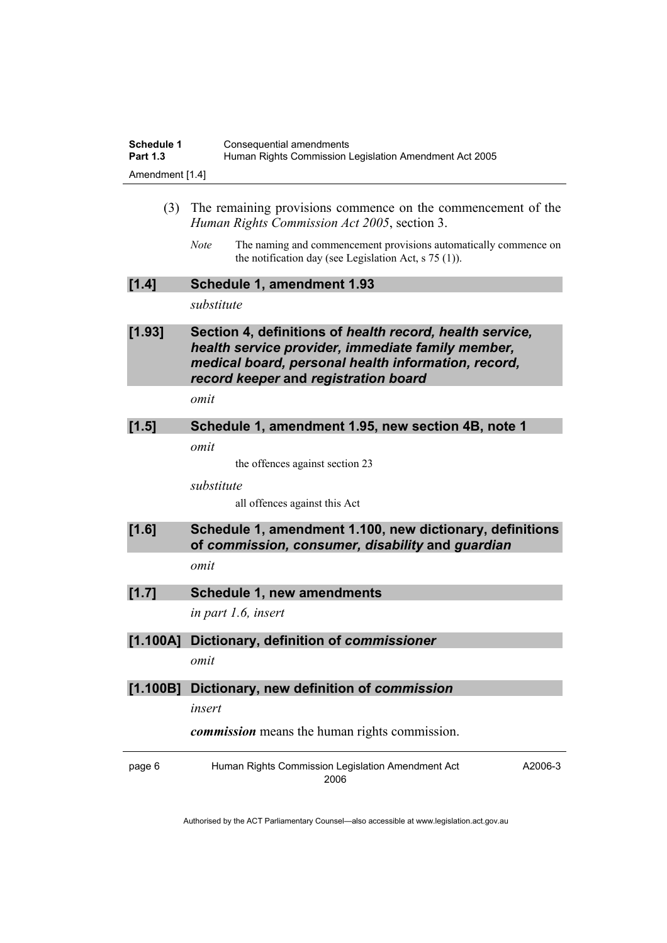| Schedule 1      | Consequential amendments                               |
|-----------------|--------------------------------------------------------|
| <b>Part 1.3</b> | Human Rights Commission Legislation Amendment Act 2005 |
| Amendment [1.4] |                                                        |

- (3) The remaining provisions commence on the commencement of the *Human Rights Commission Act 2005*, section 3.
	- *Note* The naming and commencement provisions automatically commence on the notification day (see Legislation Act, s 75 (1)).

| [1.4] | Schedule 1, amendment 1.93 |
|-------|----------------------------|
|-------|----------------------------|

*substitute* 

#### **[1.93] Section 4, definitions of** *health record, health service, health service provider, immediate family member, medical board, personal health information, record, record keeper* **and** *registration board*

*omit* 

## **[1.5] Schedule 1, amendment 1.95, new section 4B, note 1**

*omit* 

the offences against section 23

*substitute* 

all offences against this Act

#### **[1.6] Schedule 1, amendment 1.100, new dictionary, definitions of** *commission, consumer, disability* **and** *guardian omit*

#### **[1.7] Schedule 1, new amendments**

*in part 1.6, insert* 

#### **[1.100A] Dictionary, definition of** *commissioner*

*omit* 

#### **[1.100B] Dictionary, new definition of** *commission*

*insert* 

*commission* means the human rights commission.

page 6 Human Rights Commission Legislation Amendment Act 2006 A2006-3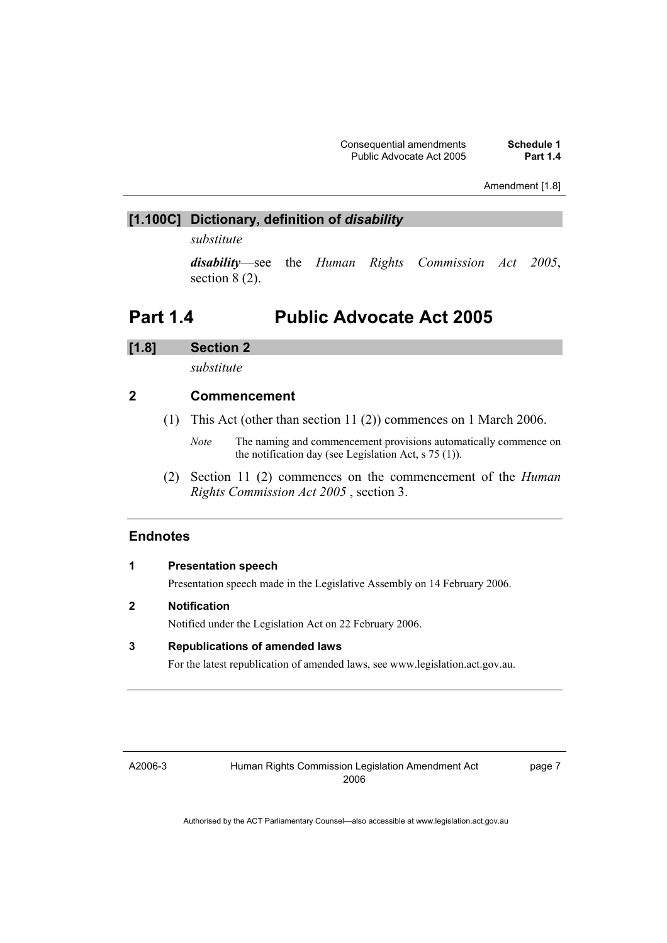Amendment [1.8]

#### **[1.100C] Dictionary, definition of** *disability*

*substitute* 

*disability*—see the *Human Rights Commission Act 2005*, section 8 (2).

## **Part 1.4 Public Advocate Act 2005**

#### **[1.8] Section 2**

*substitute* 

#### **2 Commencement**

- (1) This Act (other than section 11 (2)) commences on 1 March 2006.
	- *Note* The naming and commencement provisions automatically commence on the notification day (see Legislation Act, s 75 (1)).
- (2) Section 11 (2) commences on the commencement of the *Human Rights Commission Act 2005* , section 3.

#### **Endnotes**

|   | <b>Presentation speech</b>                                                    |
|---|-------------------------------------------------------------------------------|
|   | Presentation speech made in the Legislative Assembly on 14 February 2006.     |
| 2 | <b>Notification</b>                                                           |
|   | Notified under the Legislation Act on 22 February 2006.                       |
| 3 | <b>Republications of amended laws</b>                                         |
|   | For the latest republication of amended laws, see www.legislation.act.gov.au. |

A2006-3

page 7